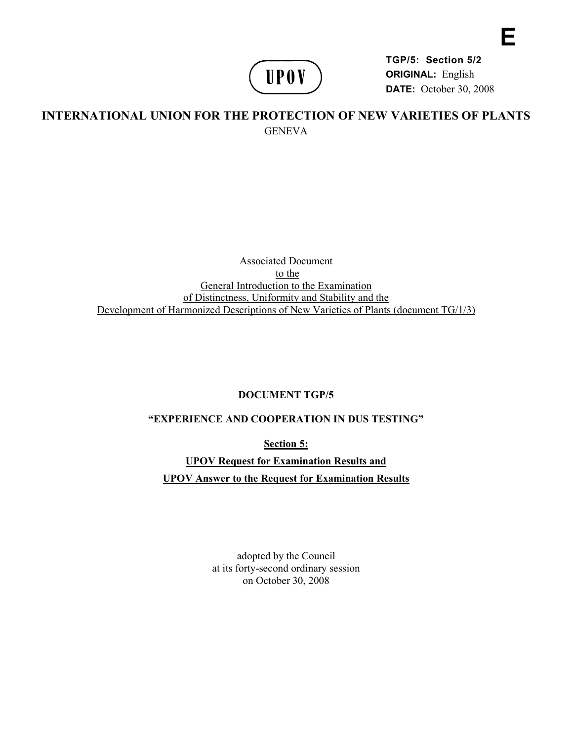

**TGP/5: Section 5/2 ORIGINAL:** English **DATE:** October 30, 2008 **E** 

# **INTERNATIONAL UNION FOR THE PROTECTION OF NEW VARIETIES OF PLANTS GENEVA**

#### Associated Document to the General Introduction to the Examination of Distinctness, Uniformity and Stability and the Development of Harmonized Descriptions of New Varieties of Plants (document TG/1/3)

#### **DOCUMENT TGP/5**

## **"EXPERIENCE AND COOPERATION IN DUS TESTING"**

**Section 5:** 

**UPOV Request for Examination Results and UPOV Answer to the Request for Examination Results** 

> adopted by the Council at its forty-second ordinary session on October 30, 2008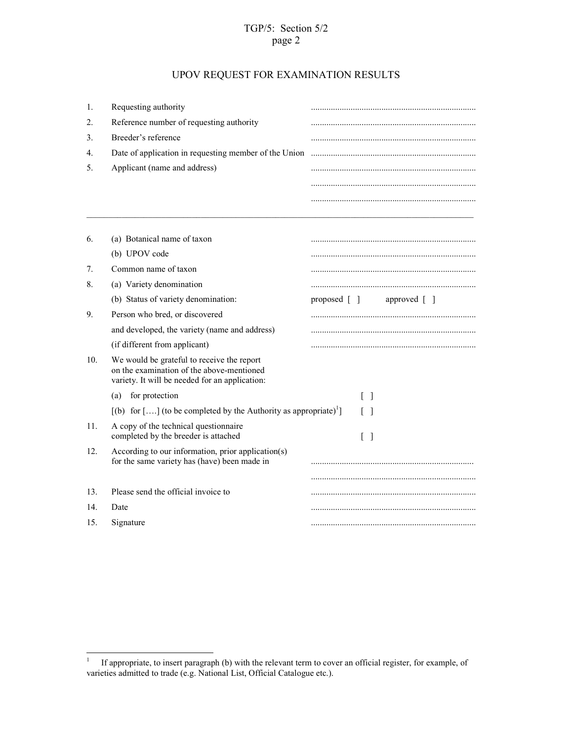## TGP/5: Section 5/2 page 2

# UPOV REQUEST FOR EXAMINATION RESULTS

| 1.              | Requesting authority                                                                                                                      |                                                            |
|-----------------|-------------------------------------------------------------------------------------------------------------------------------------------|------------------------------------------------------------|
| 2.              | Reference number of requesting authority                                                                                                  |                                                            |
| 3.              | Breeder's reference                                                                                                                       |                                                            |
| 4.              | Date of application in requesting member of the Union                                                                                     |                                                            |
| 5.              | Applicant (name and address)                                                                                                              |                                                            |
|                 |                                                                                                                                           |                                                            |
|                 |                                                                                                                                           |                                                            |
| 6.              | (a) Botanical name of taxon                                                                                                               |                                                            |
|                 | (b) UPOV code                                                                                                                             |                                                            |
| 7.              | Common name of taxon                                                                                                                      |                                                            |
| 8.              | (a) Variety denomination                                                                                                                  |                                                            |
|                 | (b) Status of variety denomination:                                                                                                       | proposed $\lceil \; \rceil$<br>approved $\lceil \; \rceil$ |
| 9.              | Person who bred, or discovered                                                                                                            |                                                            |
|                 | and developed, the variety (name and address)                                                                                             |                                                            |
|                 | (if different from applicant)                                                                                                             |                                                            |
| 10 <sub>1</sub> | We would be grateful to receive the report<br>on the examination of the above-mentioned<br>variety. It will be needed for an application: |                                                            |
|                 | for protection<br>(a)                                                                                                                     | $\lceil$ 1                                                 |
|                 | $[(b)$ for [] (to be completed by the Authority as appropriate) <sup>1</sup> ]                                                            | $\Box$                                                     |
| 11.             | A copy of the technical questionnaire<br>completed by the breeder is attached                                                             | $\lceil$ $\rceil$                                          |
| 12.             | According to our information, prior application(s)<br>for the same variety has (have) been made in                                        |                                                            |
|                 |                                                                                                                                           |                                                            |
| 13.             | Please send the official invoice to                                                                                                       |                                                            |
| 14.             | Date                                                                                                                                      |                                                            |
| 15.             | Signature                                                                                                                                 |                                                            |

<sup>|&</sup>lt;br>|<br>| If appropriate, to insert paragraph (b) with the relevant term to cover an official register, for example, of varieties admitted to trade (e.g. National List, Official Catalogue etc.).